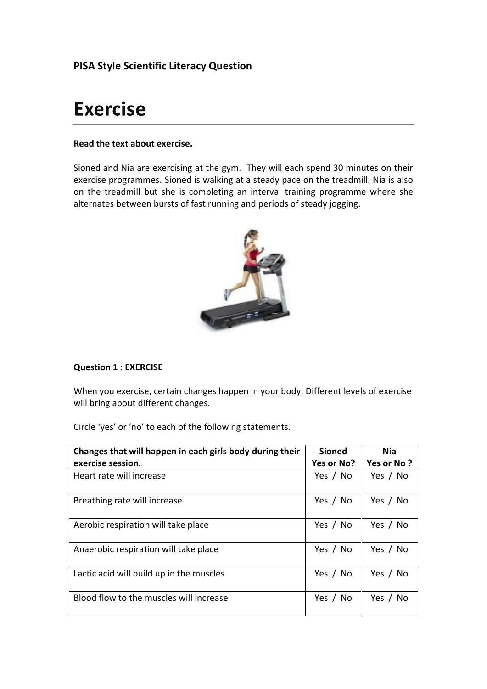# **PISA Style Scientific Literacy Question**

# **Exercise**

# **Read the text about exercise.**

Sioned and Nia are exercising at the gym. They will each spend 30 minutes on their exercise programmes. Sioned is walking at a steady pace on the treadmill. Nia is also on the treadmill but she is completing an interval training programme where she alternates between bursts of fast running and periods of steady jogging.



# **Question 1 : EXERCISE**

When you exercise, certain changes happen in your body. Different levels of exercise will bring about different changes.

Circle 'yes' or 'no' to each of the following statements.

| Changes that will happen in each girls body during their<br>exercise session. | <b>Sioned</b><br>Yes or No? | <b>Nia</b><br>Yes or No? |
|-------------------------------------------------------------------------------|-----------------------------|--------------------------|
| Heart rate will increase                                                      | Yes / No                    | Yes / No                 |
| Breathing rate will increase                                                  | Yes / No                    | Yes / No                 |
| Aerobic respiration will take place                                           | Yes / No                    | Yes / No                 |
| Anaerobic respiration will take place                                         | Yes / No                    | Yes / No                 |
| Lactic acid will build up in the muscles                                      | Yes / No                    | Yes / No                 |
| Blood flow to the muscles will increase                                       | Yes / No                    | Yes / No                 |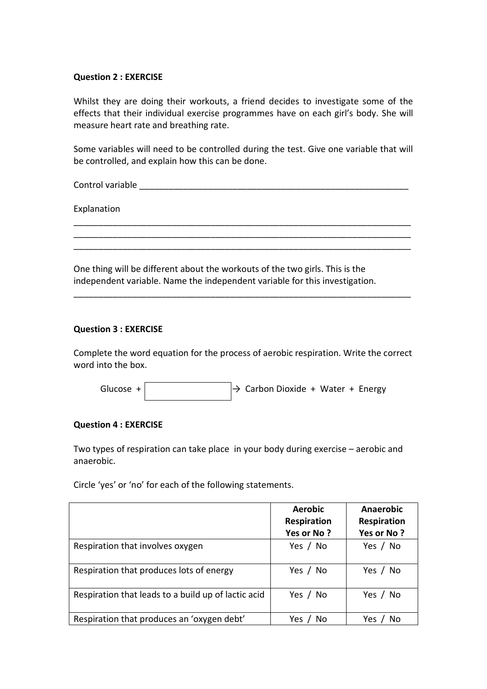## **Question 2 : EXERCISE**

Whilst they are doing their workouts, a friend decides to investigate some of the effects that their individual exercise programmes have on each girl's body. She will measure heart rate and breathing rate.

Some variables will need to be controlled during the test. Give one variable that will be controlled, and explain how this can be done.

\_\_\_\_\_\_\_\_\_\_\_\_\_\_\_\_\_\_\_\_\_\_\_\_\_\_\_\_\_\_\_\_\_\_\_\_\_\_\_\_\_\_\_\_\_\_\_\_\_\_\_\_\_\_\_\_\_\_\_\_\_\_\_\_\_\_\_\_\_ \_\_\_\_\_\_\_\_\_\_\_\_\_\_\_\_\_\_\_\_\_\_\_\_\_\_\_\_\_\_\_\_\_\_\_\_\_\_\_\_\_\_\_\_\_\_\_\_\_\_\_\_\_\_\_\_\_\_\_\_\_\_\_\_\_\_\_\_\_ \_\_\_\_\_\_\_\_\_\_\_\_\_\_\_\_\_\_\_\_\_\_\_\_\_\_\_\_\_\_\_\_\_\_\_\_\_\_\_\_\_\_\_\_\_\_\_\_\_\_\_\_\_\_\_\_\_\_\_\_\_\_\_\_\_\_\_\_\_

\_\_\_\_\_\_\_\_\_\_\_\_\_\_\_\_\_\_\_\_\_\_\_\_\_\_\_\_\_\_\_\_\_\_\_\_\_\_\_\_\_\_\_\_\_\_\_\_\_\_\_\_\_\_\_\_\_\_\_\_\_\_\_\_\_\_\_\_\_

Control variable extension of the set of the set of the set of the set of the set of the set of the set of the set of the set of the set of the set of the set of the set of the set of the set of the set of the set of the s

Explanation

One thing will be different about the workouts of the two girls. This is the independent variable. Name the independent variable for this investigation.

#### **Question 3 : EXERCISE**

Complete the word equation for the process of aerobic respiration. Write the correct word into the box.

Glucose +  $\rightarrow$  Carbon Dioxide + Water + Energy

#### **Question 4 : EXERCISE**

Two types of respiration can take place in your body during exercise – aerobic and anaerobic.

Circle 'yes' or 'no' for each of the following statements.

|                                                     | <b>Aerobic</b><br><b>Respiration</b> | Anaerobic<br>Respiration |
|-----------------------------------------------------|--------------------------------------|--------------------------|
|                                                     | Yes or No?                           | Yes or No?               |
| Respiration that involves oxygen                    | Yes / No                             | Yes / No                 |
| Respiration that produces lots of energy            | Yes / No                             | Yes / No                 |
| Respiration that leads to a build up of lactic acid | Yes / No                             | Yes / No                 |
| Respiration that produces an 'oxygen debt'          | No<br>Yes                            | Yes.<br>No               |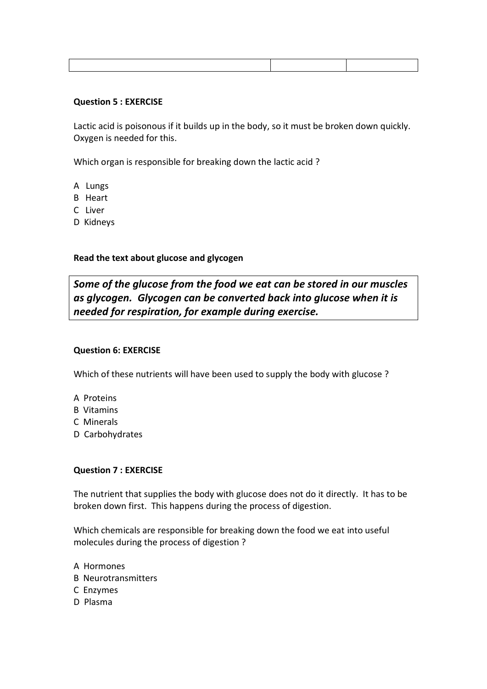## **Question 5 : EXERCISE**

Lactic acid is poisonous if it builds up in the body, so it must be broken down quickly. Oxygen is needed for this.

Which organ is responsible for breaking down the lactic acid ?

- A Lungs
- B Heart
- C Liver
- D Kidneys

**Read the text about glucose and glycogen**

*Some of the glucose from the food we eat can be stored in our muscles as glycogen. Glycogen can be converted back into glucose when it is needed for respiration, for example during exercise.* 

## **Question 6: EXERCISE**

Which of these nutrients will have been used to supply the body with glucose ?

- A Proteins
- B Vitamins
- C Minerals
- D Carbohydrates

## **Question 7 : EXERCISE**

The nutrient that supplies the body with glucose does not do it directly. It has to be broken down first. This happens during the process of digestion.

Which chemicals are responsible for breaking down the food we eat into useful molecules during the process of digestion ?

- A Hormones B Neurotransmitters C Enzymes
- D Plasma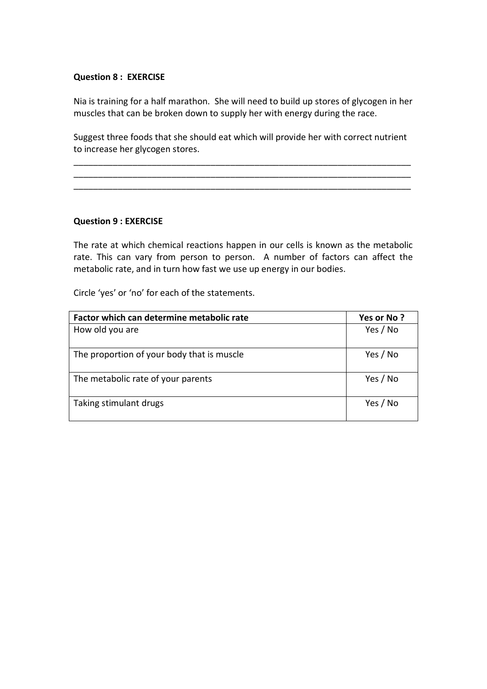## **Question 8 : EXERCISE**

Nia is training for a half marathon. She will need to build up stores of glycogen in her muscles that can be broken down to supply her with energy during the race.

Suggest three foods that she should eat which will provide her with correct nutrient to increase her glycogen stores.

\_\_\_\_\_\_\_\_\_\_\_\_\_\_\_\_\_\_\_\_\_\_\_\_\_\_\_\_\_\_\_\_\_\_\_\_\_\_\_\_\_\_\_\_\_\_\_\_\_\_\_\_\_\_\_\_\_\_\_\_\_\_\_\_\_\_\_\_\_ \_\_\_\_\_\_\_\_\_\_\_\_\_\_\_\_\_\_\_\_\_\_\_\_\_\_\_\_\_\_\_\_\_\_\_\_\_\_\_\_\_\_\_\_\_\_\_\_\_\_\_\_\_\_\_\_\_\_\_\_\_\_\_\_\_\_\_\_\_ \_\_\_\_\_\_\_\_\_\_\_\_\_\_\_\_\_\_\_\_\_\_\_\_\_\_\_\_\_\_\_\_\_\_\_\_\_\_\_\_\_\_\_\_\_\_\_\_\_\_\_\_\_\_\_\_\_\_\_\_\_\_\_\_\_\_\_\_\_

#### **Question 9 : EXERCISE**

The rate at which chemical reactions happen in our cells is known as the metabolic rate. This can vary from person to person. A number of factors can affect the metabolic rate, and in turn how fast we use up energy in our bodies.

Circle 'yes' or 'no' for each of the statements.

| Factor which can determine metabolic rate  | Yes or No? |
|--------------------------------------------|------------|
| How old you are                            | Yes / No   |
| The proportion of your body that is muscle | Yes / No   |
| The metabolic rate of your parents         | Yes / No   |
| Taking stimulant drugs                     | Yes / No   |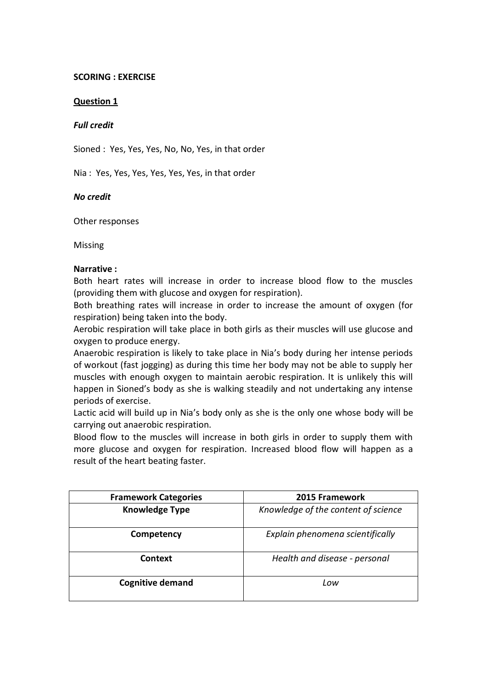## **SCORING : EXERCISE**

# **Question 1**

# *Full credit*

Sioned : Yes, Yes, Yes, No, No, Yes, in that order

Nia : Yes, Yes, Yes, Yes, Yes, Yes, in that order

# *No credit*

Other responses

Missing

## **Narrative :**

Both heart rates will increase in order to increase blood flow to the muscles (providing them with glucose and oxygen for respiration).

Both breathing rates will increase in order to increase the amount of oxygen (for respiration) being taken into the body.

Aerobic respiration will take place in both girls as their muscles will use glucose and oxygen to produce energy.

Anaerobic respiration is likely to take place in Nia's body during her intense periods of workout (fast jogging) as during this time her body may not be able to supply her muscles with enough oxygen to maintain aerobic respiration. It is unlikely this will happen in Sioned's body as she is walking steadily and not undertaking any intense periods of exercise.

Lactic acid will build up in Nia's body only as she is the only one whose body will be carrying out anaerobic respiration.

Blood flow to the muscles will increase in both girls in order to supply them with more glucose and oxygen for respiration. Increased blood flow will happen as a result of the heart beating faster.

| <b>Framework Categories</b> | 2015 Framework                      |
|-----------------------------|-------------------------------------|
| <b>Knowledge Type</b>       | Knowledge of the content of science |
| Competency                  | Explain phenomena scientifically    |
| Context                     | Health and disease - personal       |
| <b>Cognitive demand</b>     | Low                                 |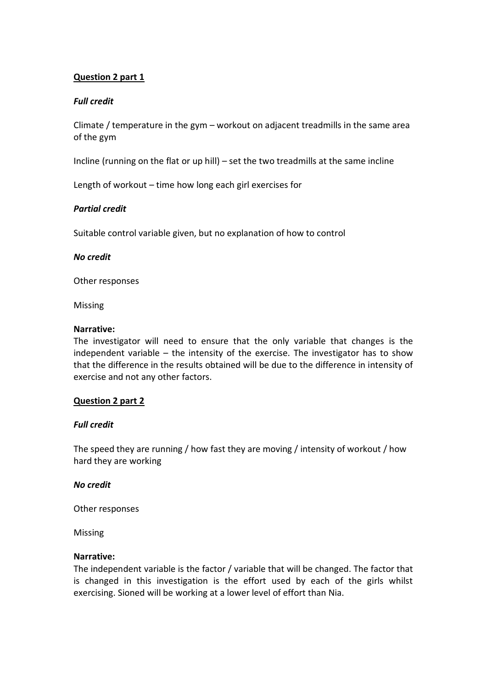# **Question 2 part 1**

## *Full credit*

Climate / temperature in the gym – workout on adjacent treadmills in the same area of the gym

Incline (running on the flat or up hill) – set the two treadmills at the same incline

Length of workout – time how long each girl exercises for

#### *Partial credit*

Suitable control variable given, but no explanation of how to control

#### *No credit*

Other responses

Missing

#### **Narrative:**

The investigator will need to ensure that the only variable that changes is the independent variable – the intensity of the exercise. The investigator has to show that the difference in the results obtained will be due to the difference in intensity of exercise and not any other factors.

## **Question 2 part 2**

#### *Full credit*

The speed they are running / how fast they are moving / intensity of workout / how hard they are working

#### *No credit*

Other responses

Missing

#### **Narrative:**

The independent variable is the factor / variable that will be changed. The factor that is changed in this investigation is the effort used by each of the girls whilst exercising. Sioned will be working at a lower level of effort than Nia.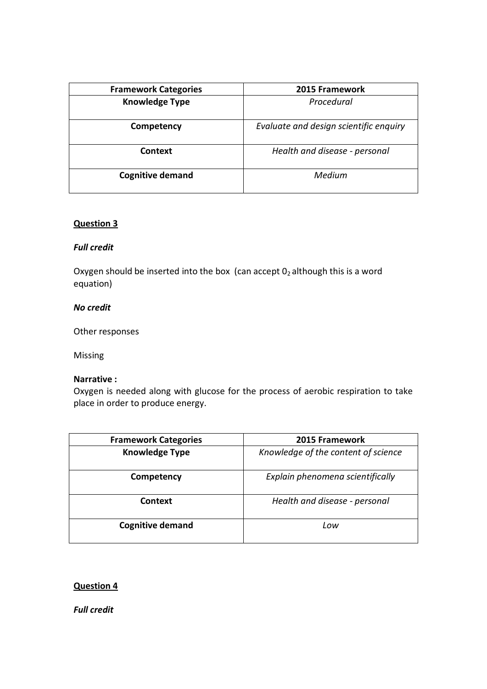| <b>Framework Categories</b> | 2015 Framework                         |
|-----------------------------|----------------------------------------|
| <b>Knowledge Type</b>       | Procedural                             |
| Competency                  | Evaluate and design scientific enquiry |
| Context                     | Health and disease - personal          |
| <b>Cognitive demand</b>     | Medium                                 |

## **Question 3**

## *Full credit*

Oxygen should be inserted into the box (can accept  $0_2$  although this is a word equation)

## *No credit*

Other responses

Missing

#### **Narrative :**

Oxygen is needed along with glucose for the process of aerobic respiration to take place in order to produce energy.

| <b>Framework Categories</b> | 2015 Framework                      |
|-----------------------------|-------------------------------------|
| <b>Knowledge Type</b>       | Knowledge of the content of science |
| Competency                  | Explain phenomena scientifically    |
| Context                     | Health and disease - personal       |
| <b>Cognitive demand</b>     | Low                                 |

## **Question 4**

*Full credit*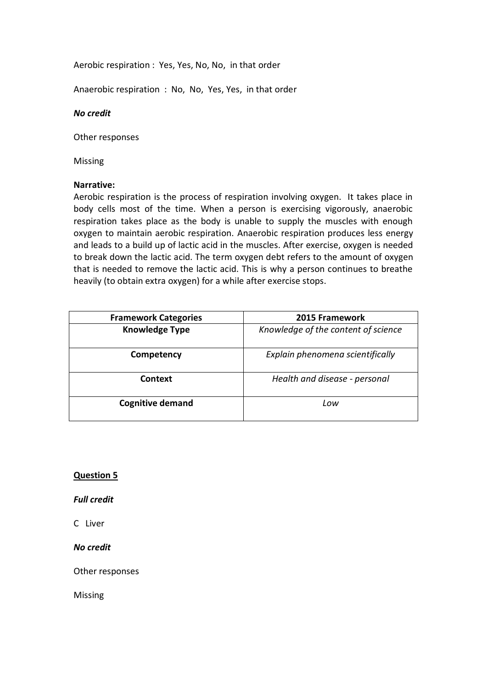Aerobic respiration : Yes, Yes, No, No, in that order

Anaerobic respiration : No, No, Yes, Yes, in that order

## *No credit*

Other responses

Missing

## **Narrative:**

Aerobic respiration is the process of respiration involving oxygen. It takes place in body cells most of the time. When a person is exercising vigorously, anaerobic respiration takes place as the body is unable to supply the muscles with enough oxygen to maintain aerobic respiration. Anaerobic respiration produces less energy and leads to a build up of lactic acid in the muscles. After exercise, oxygen is needed to break down the lactic acid. The term oxygen debt refers to the amount of oxygen that is needed to remove the lactic acid. This is why a person continues to breathe heavily (to obtain extra oxygen) for a while after exercise stops.

| <b>Framework Categories</b> | 2015 Framework                      |
|-----------------------------|-------------------------------------|
| <b>Knowledge Type</b>       | Knowledge of the content of science |
| Competency                  | Explain phenomena scientifically    |
| Context                     | Health and disease - personal       |
| <b>Cognitive demand</b>     | Low                                 |

## **Question 5**

*Full credit* 

C Liver

*No credit* 

Other responses

Missing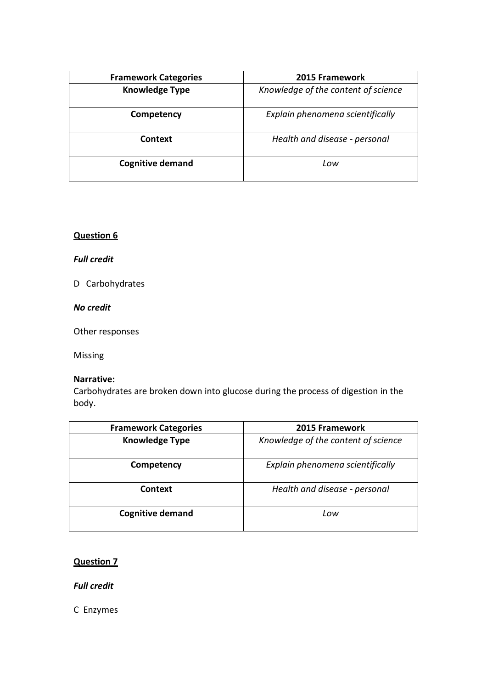| <b>Framework Categories</b> | 2015 Framework                      |
|-----------------------------|-------------------------------------|
| <b>Knowledge Type</b>       | Knowledge of the content of science |
| Competency                  | Explain phenomena scientifically    |
| Context                     | Health and disease - personal       |
| <b>Cognitive demand</b>     | Low                                 |

# **Question 6**

# *Full credit*

D Carbohydrates

# *No credit*

Other responses

Missing

# **Narrative:**

Carbohydrates are broken down into glucose during the process of digestion in the body.

| <b>Framework Categories</b> | 2015 Framework                      |
|-----------------------------|-------------------------------------|
| <b>Knowledge Type</b>       | Knowledge of the content of science |
| Competency                  | Explain phenomena scientifically    |
| Context                     | Health and disease - personal       |
| <b>Cognitive demand</b>     | Low                                 |

# **Question 7**

*Full credit*

C Enzymes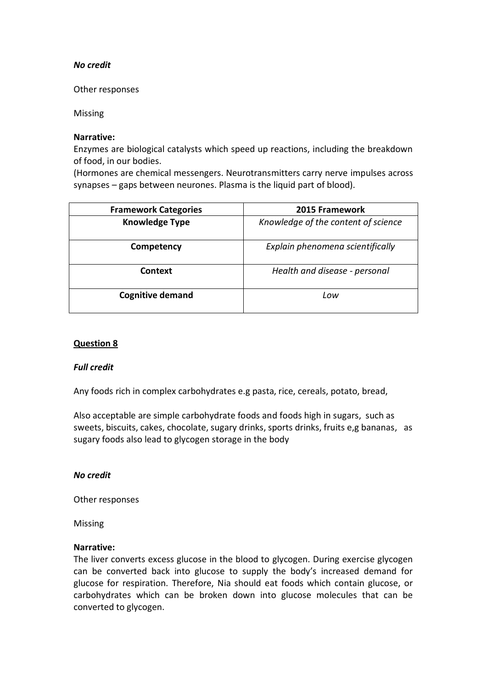# *No credit*

Other responses

Missing

#### **Narrative:**

Enzymes are biological catalysts which speed up reactions, including the breakdown of food, in our bodies.

(Hormones are chemical messengers. Neurotransmitters carry nerve impulses across synapses – gaps between neurones. Plasma is the liquid part of blood).

| <b>Framework Categories</b> | 2015 Framework                      |
|-----------------------------|-------------------------------------|
| <b>Knowledge Type</b>       | Knowledge of the content of science |
| Competency                  | Explain phenomena scientifically    |
| Context                     | Health and disease - personal       |
| <b>Cognitive demand</b>     | Low                                 |

# **Question 8**

## *Full credit*

Any foods rich in complex carbohydrates e.g pasta, rice, cereals, potato, bread,

Also acceptable are simple carbohydrate foods and foods high in sugars, such as sweets, biscuits, cakes, chocolate, sugary drinks, sports drinks, fruits e,g bananas, as sugary foods also lead to glycogen storage in the body

## *No credit*

Other responses

Missing

#### **Narrative:**

The liver converts excess glucose in the blood to glycogen. During exercise glycogen can be converted back into glucose to supply the body's increased demand for glucose for respiration. Therefore, Nia should eat foods which contain glucose, or carbohydrates which can be broken down into glucose molecules that can be converted to glycogen.